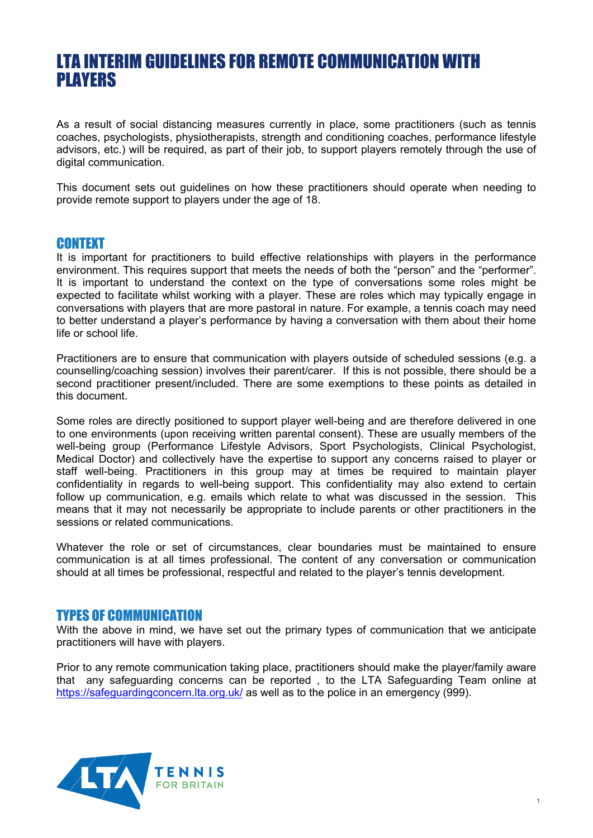# LTA INTERIM GUIDELINES FOR REMOTE COMMUNICATION WITH PLAYERS

As a result of social distancing measures currently in place, some practitioners (such as tennis coaches, psychologists, physiotherapists, strength and conditioning coaches, performance lifestyle advisors, etc.) will be required, as part of their job, to support players remotely through the use of digital communication.

This document sets out guidelines on how these practitioners should operate when needing to provide remote support to players under the age of 18.

## **CONTEXT**

It is important for practitioners to build effective relationships with players in the performance environment. This requires support that meets the needs of both the "person" and the "performer". It is important to understand the context on the type of conversations some roles might be expected to facilitate whilst working with a player. These are roles which may typically engage in conversations with players that are more pastoral in nature. For example, a tennis coach may need to better understand a player's performance by having a conversation with them about their home life or school life.

Practitioners are to ensure that communication with players outside of scheduled sessions (e.g. a counselling/coaching session) involves their parent/carer. If this is not possible, there should be a second practitioner present/included. There are some exemptions to these points as detailed in this document.

Some roles are directly positioned to support player well-being and are therefore delivered in one to one environments (upon receiving written parental consent). These are usually members of the well-being group (Performance Lifestyle Advisors, Sport Psychologists, Clinical Psychologist, Medical Doctor) and collectively have the expertise to support any concerns raised to player or staff well-being. Practitioners in this group may at times be required to maintain player confidentiality in regards to well-being support. This confidentiality may also extend to certain follow up communication, e.g. emails which relate to what was discussed in the session. This means that it may not necessarily be appropriate to include parents or other practitioners in the sessions or related communications.

Whatever the role or set of circumstances, clear boundaries must be maintained to ensure communication is at all times professional. The content of any conversation or communication should at all times be professional, respectful and related to the player's tennis development.

## TYPES OF COMMUNICATION

With the above in mind, we have set out the primary types of communication that we anticipate practitioners will have with players.

Prior to any remote communication taking place, practitioners should make the player/family aware that any safeguarding concerns can be reported , to the LTA Safeguarding Team online at <https://safeguardingconcern.lta.org.uk/> as well as to the police in an emergency (999).

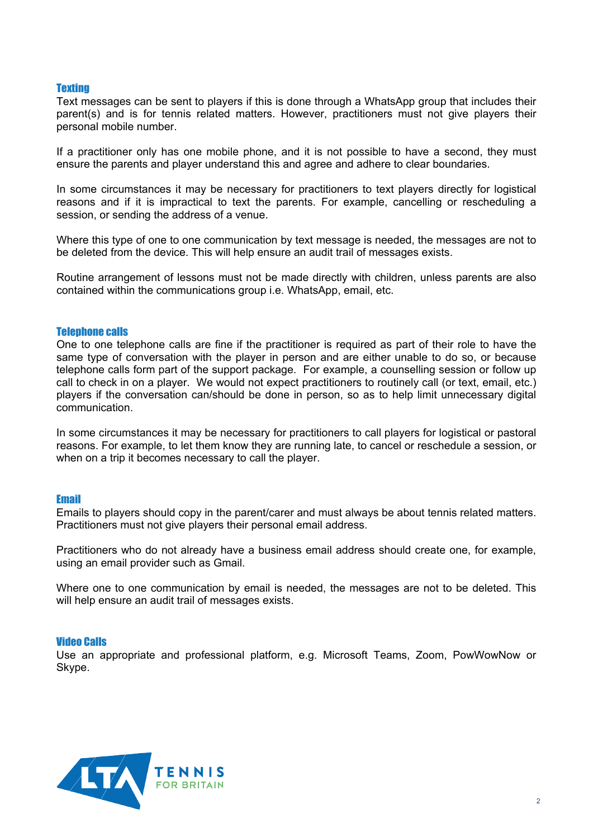#### **Texting**

Text messages can be sent to players if this is done through a WhatsApp group that includes their parent(s) and is for tennis related matters. However, practitioners must not give players their personal mobile number.

If a practitioner only has one mobile phone, and it is not possible to have a second, they must ensure the parents and player understand this and agree and adhere to clear boundaries.

In some circumstances it may be necessary for practitioners to text players directly for logistical reasons and if it is impractical to text the parents. For example, cancelling or rescheduling a session, or sending the address of a venue.

Where this type of one to one communication by text message is needed, the messages are not to be deleted from the device. This will help ensure an audit trail of messages exists.

Routine arrangement of lessons must not be made directly with children, unless parents are also contained within the communications group i.e. WhatsApp, email, etc.

#### Telephone calls

One to one telephone calls are fine if the practitioner is required as part of their role to have the same type of conversation with the player in person and are either unable to do so, or because telephone calls form part of the support package. For example, a counselling session or follow up call to check in on a player. We would not expect practitioners to routinely call (or text, email, etc.) players if the conversation can/should be done in person, so as to help limit unnecessary digital communication.

In some circumstances it may be necessary for practitioners to call players for logistical or pastoral reasons. For example, to let them know they are running late, to cancel or reschedule a session, or when on a trip it becomes necessary to call the player.

#### Email

Emails to players should copy in the parent/carer and must always be about tennis related matters. Practitioners must not give players their personal email address.

Practitioners who do not already have a business email address should create one, for example, using an email provider such as Gmail.

Where one to one communication by email is needed, the messages are not to be deleted. This will help ensure an audit trail of messages exists.

#### Video Calls

Use an appropriate and professional platform, e.g. Microsoft Teams, Zoom, PowWowNow or Skype.

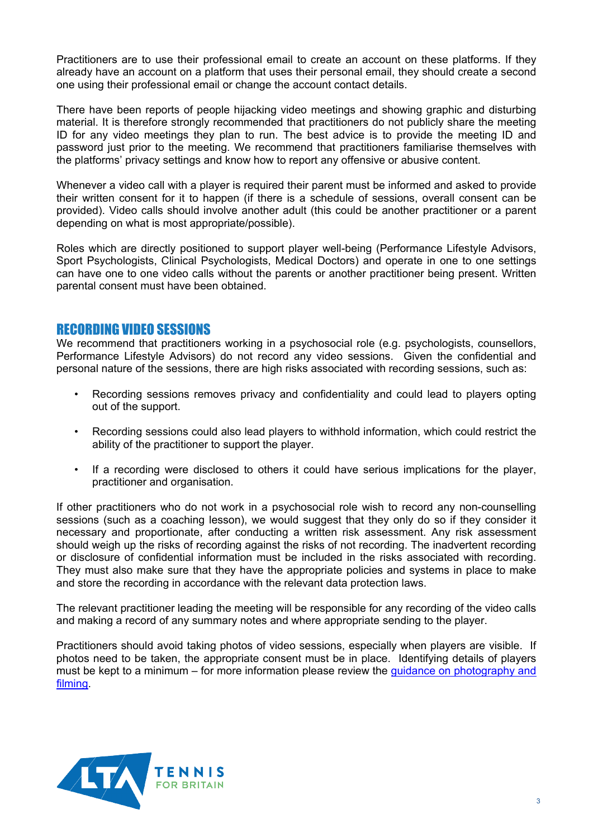Practitioners are to use their professional email to create an account on these platforms. If they already have an account on a platform that uses their personal email, they should create a second one using their professional email or change the account contact details.

There have been reports of people hijacking video meetings and showing graphic and disturbing material. It is therefore strongly recommended that practitioners do not publicly share the meeting ID for any video meetings they plan to run. The best advice is to provide the meeting ID and password just prior to the meeting. We recommend that practitioners familiarise themselves with the platforms' privacy settings and know how to report any offensive or abusive content.

Whenever a video call with a player is required their parent must be informed and asked to provide their written consent for it to happen (if there is a schedule of sessions, overall consent can be provided). Video calls should involve another adult (this could be another practitioner or a parent depending on what is most appropriate/possible).

Roles which are directly positioned to support player well-being (Performance Lifestyle Advisors, Sport Psychologists, Clinical Psychologists, Medical Doctors) and operate in one to one settings can have one to one video calls without the parents or another practitioner being present. Written parental consent must have been obtained.

# RECORDING VIDEO SESSIONS

We recommend that practitioners working in a psychosocial role (e.g. psychologists, counsellors, Performance Lifestyle Advisors) do not record any video sessions. Given the confidential and personal nature of the sessions, there are high risks associated with recording sessions, such as:

- Recording sessions removes privacy and confidentiality and could lead to players opting out of the support.
- Recording sessions could also lead players to withhold information, which could restrict the ability of the practitioner to support the player.
- If a recording were disclosed to others it could have serious implications for the player, practitioner and organisation.

If other practitioners who do not work in a psychosocial role wish to record any non-counselling sessions (such as a coaching lesson), we would suggest that they only do so if they consider it necessary and proportionate, after conducting a written risk assessment. Any risk assessment should weigh up the risks of recording against the risks of not recording. The inadvertent recording or disclosure of confidential information must be included in the risks associated with recording. They must also make sure that they have the appropriate policies and systems in place to make and store the recording in accordance with the relevant data protection laws.

The relevant practitioner leading the meeting will be responsible for any recording of the video calls and making a record of any summary notes and where appropriate sending to the player.

Practitioners should avoid taking photos of video sessions, especially when players are visible. If photos need to be taken, the appropriate consent must be in place. Identifying details of players must be kept to a minimum – for more information please review the [guidance on photography and](https://www.lta.org.uk/globalassets/about-lta/safeguarding/county-standards/photography-and-filming-best-practice-guidance.docx)  [filming.](https://www.lta.org.uk/globalassets/about-lta/safeguarding/county-standards/photography-and-filming-best-practice-guidance.docx)